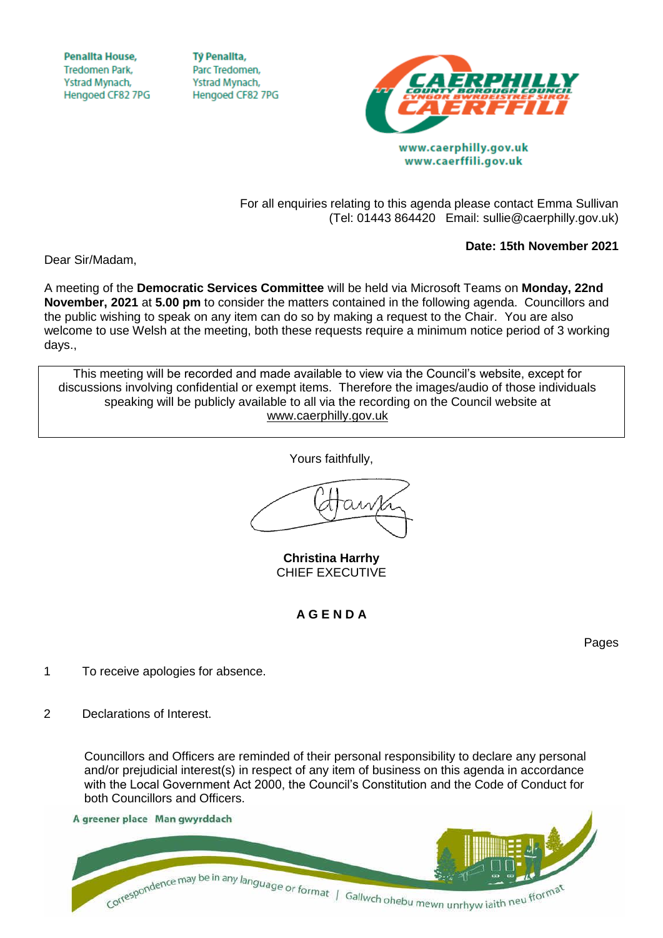**Penallta House, Tredomen Park.** Ystrad Mynach, Hengoed CF82 7PG

**TV Penallta,** Parc Tredomen. Ystrad Mynach, Hengoed CF82 7PG



www.caerffili.gov.uk

For all enquiries relating to this agenda please contact Emma Sullivan (Tel: 01443 864420 Email: sullie@caerphilly.gov.uk)

**Date: 15th November 2021**

Dear Sir/Madam,

A meeting of the **Democratic Services Committee** will be held via Microsoft Teams on **Monday, 22nd November, 2021** at **5.00 pm** to consider the matters contained in the following agenda. Councillors and the public wishing to speak on any item can do so by making a request to the Chair. You are also welcome to use Welsh at the meeting, both these requests require a minimum notice period of 3 working days.,

This meeting will be recorded and made available to view via the Council's website, except for discussions involving confidential or exempt items. Therefore the images/audio of those individuals speaking will be publicly available to all via the recording on the Council website at [www.caerphilly.gov.uk](http://www.caerphilly.gov.uk/)

Yours faithfully,

**Christina Harrhy** CHIEF EXECUTIVE

**A G E N D A**

Pages

- 1 To receive apologies for absence.
- 2 Declarations of Interest.

Councillors and Officers are reminded of their personal responsibility to declare any personal and/or prejudicial interest(s) in respect of any item of business on this agenda in accordance with the Local Government Act 2000, the Council's Constitution and the Code of Conduct for both Councillors and Officers.

A greener place Man gwyrddach